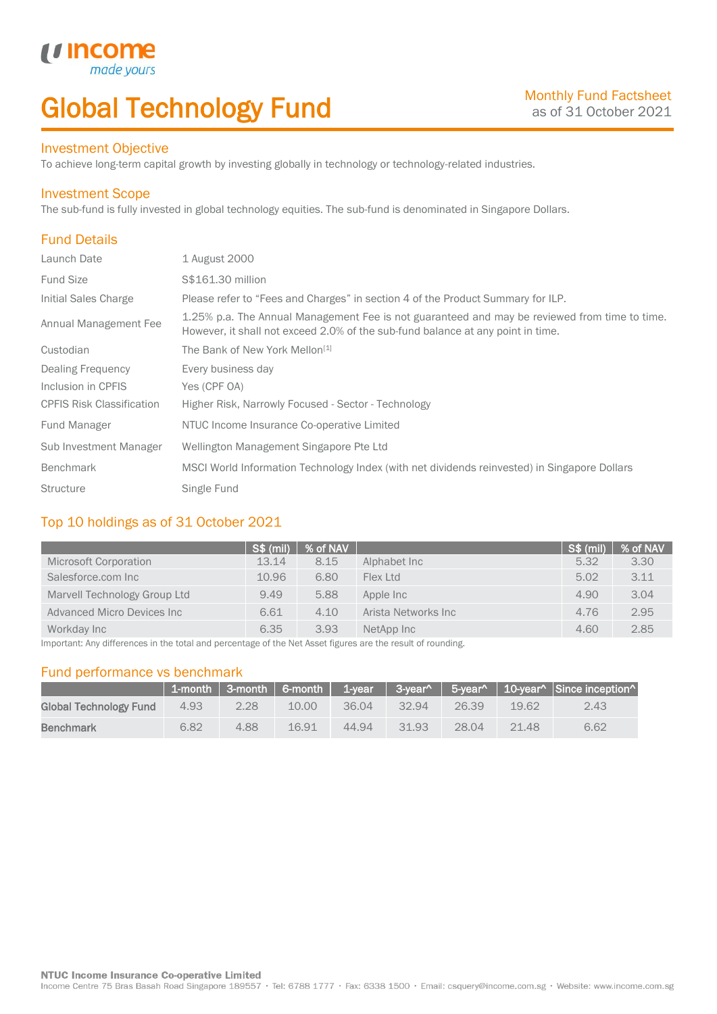# Global Technology Fund

#### Investment Objective

made

*u* incom

To achieve long-term capital growth by investing globally in technology or technology-related industries.

#### Investment Scope

The sub-fund is fully invested in global technology equities. The sub-fund is denominated in Singapore Dollars.

## Fund Details

I

| Launch Date                      | 1 August 2000                                                                                                                                                                    |
|----------------------------------|----------------------------------------------------------------------------------------------------------------------------------------------------------------------------------|
| <b>Fund Size</b>                 | S\$161.30 million                                                                                                                                                                |
| Initial Sales Charge             | Please refer to "Fees and Charges" in section 4 of the Product Summary for ILP.                                                                                                  |
| Annual Management Fee            | 1.25% p.a. The Annual Management Fee is not guaranteed and may be reviewed from time to time.<br>However, it shall not exceed 2.0% of the sub-fund balance at any point in time. |
| Custodian                        | The Bank of New York Mellon <sup>[1]</sup>                                                                                                                                       |
| Dealing Frequency                | Every business day                                                                                                                                                               |
| Inclusion in CPFIS               | Yes (CPF OA)                                                                                                                                                                     |
| <b>CPFIS Risk Classification</b> | Higher Risk, Narrowly Focused - Sector - Technology                                                                                                                              |
| <b>Fund Manager</b>              | NTUC Income Insurance Co-operative Limited                                                                                                                                       |
| Sub Investment Manager           | Wellington Management Singapore Pte Ltd                                                                                                                                          |
| <b>Benchmark</b>                 | MSCI World Information Technology Index (with net dividends reinvested) in Singapore Dollars                                                                                     |
| <b>Structure</b>                 | Single Fund                                                                                                                                                                      |

### Top 10 holdings as of 31 October 2021

|                              | <b>S\$ (mil)</b> | % of NAV |                      | S\$ (mil) | % of NAV |
|------------------------------|------------------|----------|----------------------|-----------|----------|
| <b>Microsoft Corporation</b> | 13.14            | 8.15     | Alphabet Inc         | 5.32      | 3.30     |
| Salesforce.com Inc           | 10.96            | 6.80     | Flex Ltd             | 5.02      | 3.11     |
| Marvell Technology Group Ltd | 9.49             | 5.88     | Apple Inc            | 4.90      | 3.04     |
| Advanced Micro Devices Inc   | 6.61             | 4.10     | Arista Networks Inc. | 4.76      | 2.95     |
| Workday Inc                  | 6.35             | 3.93     | NetApp Inc           | 4.60      | 2.85     |

Important: Any differences in the total and percentage of the Net Asset figures are the result of rounding.

#### Fund performance vs benchmark

|                        |      |      |       |       |       |       |       | 1-month   3-month   6-month   1-year   3-year^   5-year^   10-year^   Since inception^ |
|------------------------|------|------|-------|-------|-------|-------|-------|----------------------------------------------------------------------------------------|
| Global Technology Fund | 4.93 | 2.28 | 10.00 | 36.04 | 32.94 | 26.39 | 19.62 | 2.43                                                                                   |
| <b>Benchmark</b>       | 6.82 | 4.88 | 16.91 | 44.94 | 31.93 | 28.04 | 21.48 | 6.62                                                                                   |

Income Centre 75 Bras Basah Road Singapore 189557 · Tel: 6788 1777 · Fax: 6338 1500 · Email: csquery@income.com.sg · Website: www.income.com.sg